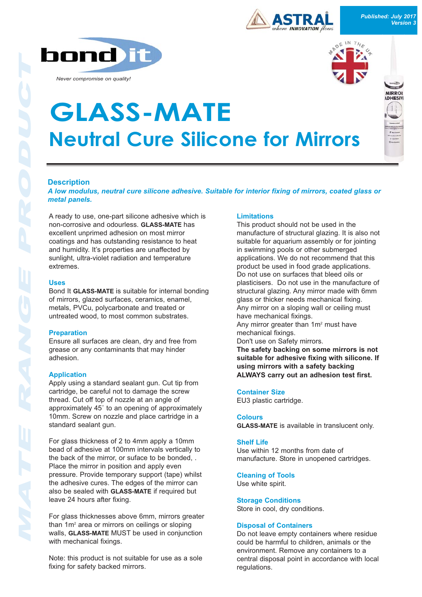**bond** 

*Never compromise on quality!*



**MIDDO** ADHESIV



# **Neutral Cure Silicone for Mirrors GLASS-MATE**

# **Description**

*A low modulus, neutral cure silicone adhesive. Suitable for interior fixing of mirrors, coated glass or metal panels.*

A ready to use, one-part silicone adhesive which is non-corrosive and odourless. **GLASS-MATE** has excellent unprimed adhesion on most mirror coatings and has outstanding resistance to heat and humidity. It's properties are unaffected by sunlight, ultra-violet radiation and temperature extremes.

#### **Uses**

Bond It **GLASS-MATE** is suitable for internal bonding of mirrors, glazed surfaces, ceramics, enamel, metals, PVCu, polycarbonate and treated or untreated wood, to most common substrates.

#### **Preparation**

Ensure all surfaces are clean, dry and free from grease or any contaminants that may hinder adhesion.

## **Application**

Apply using a standard sealant gun. Cut tip from cartridge, be careful not to damage the screw thread. Cut off top of nozzle at an angle of approximately 45˚ to an opening of approximately 10mm. Screw on nozzle and place cartridge in a standard sealant gun.

For glass thickness of 2 to 4mm apply a 10mm bead of adhesive at 100mm intervals vertically to the back of the mirror, or suface to be bonded, . Place the mirror in position and apply even pressure. Provide temporary support (tape) whilst the adhesive cures. The edges of the mirror can also be sealed with **GLASS-MATE** if required but leave 24 hours after fixing.

For glass thicknesses above 6mm, mirrors greater than 1m<sup>2</sup> area or mirrors on ceilings or sloping walls, **GLASS-MATE** MUST be used in conjunction with mechanical fixings.

Note: this product is not suitable for use as a sole fixing for safety backed mirrors.

# **Limitations**

This product should not be used in the manufacture of structural glazing. It is also not suitable for aquarium assembly or for jointing in swimming pools or other submerged applications. We do not recommend that this product be used in food grade applications. Do not use on surfaces that bleed oils or plasticisers. Do not use in the manufacture of structural glazing. Any mirror made with 6mm glass or thicker needs mechanical fixing. Any mirror on a sloping wall or ceiling must have mechanical fixings. Any mirror greater than 1m2 must have mechanical fixings. Don't use on Safety mirrors. **The safety backing on some mirrors is not suitable for adhesive fixing with silicone. If using mirrors with a safety backing ALWAYS carry out an adhesion test first.**

#### **Container Size**

EU3 plastic cartridge.

#### **Colours**

**GLASS-MATE** is available in translucent only.

#### **Shelf Life**

Use within 12 months from date of manufacture. Store in unopened cartridges.

## **Cleaning of Tools**

Use white spirit.

**Storage Conditions** Store in cool, dry conditions.

## **Disposal of Containers**

Do not leave empty containers where residue could be harmful to children, animals or the environment. Remove any containers to a central disposal point in accordance with local regulations.